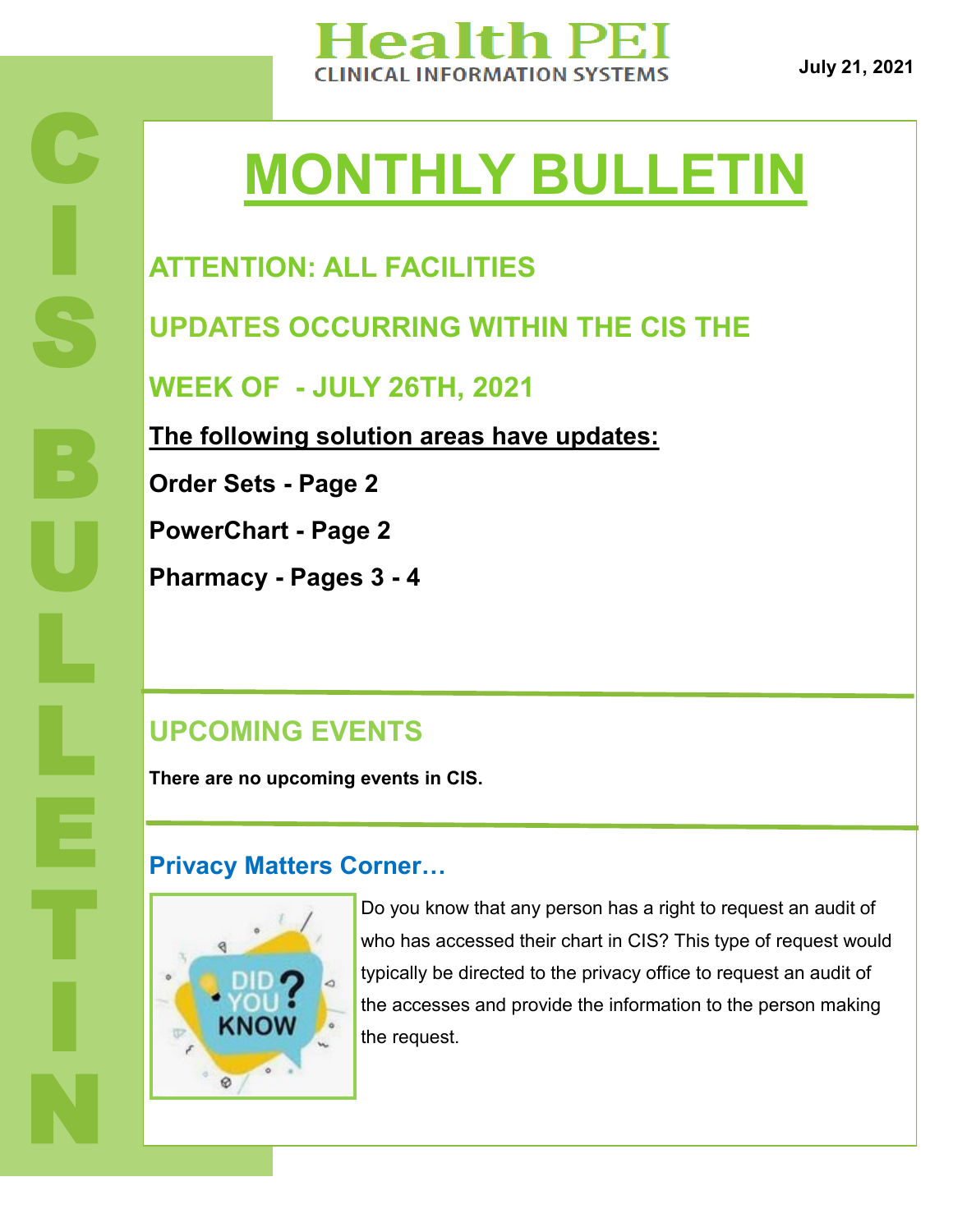

**July 21, 2021**

# **MONTHLY BULLETIN**

## **ATTENTION: ALL FACILITIES**

**UPDATES OCCURRING WITHIN THE CIS THE** 

**WEEK OF - JULY 26TH, 2021**

**The following solution areas have updates:**

**Order Sets - Page 2**

**PowerChart - Page 2**

**Pharmacy - Pages 3 - 4**

### **UPCOMING EVENTS**

**There are no upcoming events in CIS.** 

#### **Privacy Matters Corner…**



Do you know that any person has a right to request an audit of who has accessed their chart in CIS? This type of request would typically be directed to the privacy office to request an audit of the accesses and provide the information to the person making the request.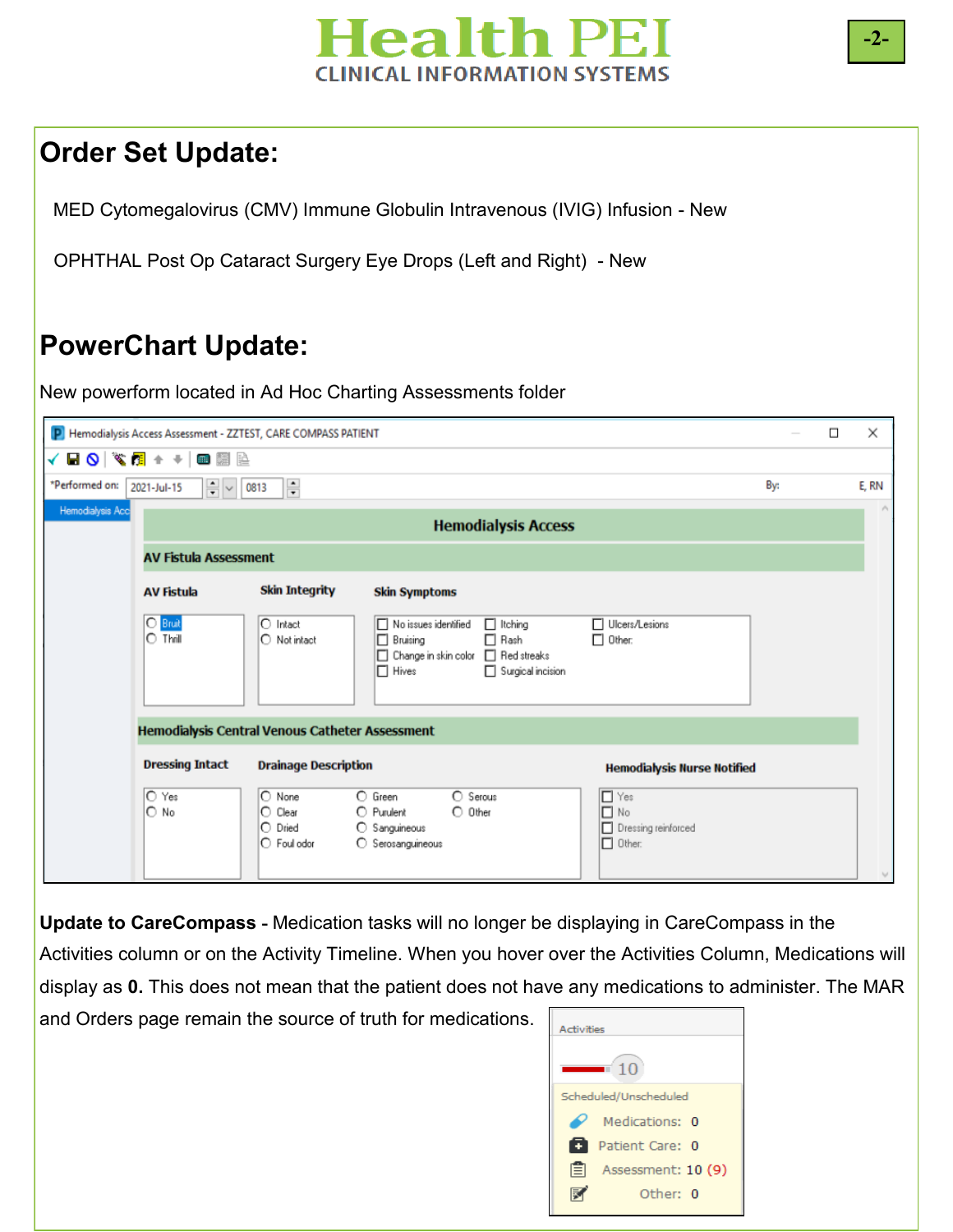

### **Order Set Update:**

MED Cytomegalovirus (CMV) Immune Globulin Intravenous (IVIG) Infusion - New

OPHTHAL Post Op Cataract Surgery Eye Drops (Left and Right) - New

### **PowerChart Update:**

New powerform located in Ad Hoc Charting Assessments folder

|                  | P Hemodialysis Access Assessment - ZZTEST, CARE COMPASS PATIENT |                                                                             |                                                                                                                                                               |                                                                 |     |  |          |
|------------------|-----------------------------------------------------------------|-----------------------------------------------------------------------------|---------------------------------------------------------------------------------------------------------------------------------------------------------------|-----------------------------------------------------------------|-----|--|----------|
| √⊌◙▏▓▒▌          | ■■⊵                                                             |                                                                             |                                                                                                                                                               |                                                                 |     |  |          |
| *Performed on:   | $\Rightarrow$ $\lor$ $\parallel$<br>2021-Jul-15                 | $\frac{1}{\tau}$<br>0813                                                    |                                                                                                                                                               |                                                                 | By: |  | E, RN    |
| Hemodialysis Acc | <b>Hemodialysis Access</b>                                      |                                                                             |                                                                                                                                                               |                                                                 |     |  | $\wedge$ |
|                  | <b>AV Fistula Assessment</b>                                    |                                                                             |                                                                                                                                                               |                                                                 |     |  |          |
|                  | <b>AV Fistula</b>                                               | <b>Skin Integrity</b>                                                       | <b>Skin Symptoms</b>                                                                                                                                          |                                                                 |     |  |          |
|                  | O Bruit<br>$\cap$ Thrill                                        | $\bigcirc$ Intact<br>$\bigcirc$ Not intact                                  | $\Box$ Itching<br>□ No issues identified<br>$\Box$ Rash<br>$\Box$ Bruising<br>Red streaks<br>$\Box$ Change in skin color<br>$\Box$ Hives<br>Surgical incision | □ Ulcers/Lesions<br>$\Box$ Other:                               |     |  |          |
|                  | Hemodialysis Central Venous Catheter Assessment                 |                                                                             |                                                                                                                                                               |                                                                 |     |  |          |
|                  | <b>Dressing Intact</b><br><b>Drainage Description</b>           |                                                                             |                                                                                                                                                               | <b>Hemodialysis Nurse Notified</b>                              |     |  |          |
|                  | $\overline{O}$ Yes<br>$\circ$ No                                | $\bigcirc$ None<br>$\circ$ Clear<br>$\bigcirc$ Dried<br>$\bigcap$ Foul odor | $\bigcirc$ Green<br>$\bigcap$ Serous<br>O Purulent<br>$O$ Other<br>○ Sanguineous<br>O Serosanguineous                                                         | $\Box$ Yes<br>$\Box$ No<br>Dressing reinforced<br>$\Box$ Other: |     |  |          |

**Update to CareCompass -** Medication tasks will no longer be displaying in CareCompass in the

Activities column or on the Activity Timeline. When you hover over the Activities Column, Medications will display as **0.** This does not mean that the patient does not have any medications to administer. The MAR and Orders page remain the source of truth for medications.

| Activities |                       |  |  |  |  |  |  |
|------------|-----------------------|--|--|--|--|--|--|
| 10         |                       |  |  |  |  |  |  |
|            | Scheduled/Unscheduled |  |  |  |  |  |  |
|            | Medications: 0        |  |  |  |  |  |  |
| n          | Patient Care: 0       |  |  |  |  |  |  |
| 圁          | Assessment: 10 (9)    |  |  |  |  |  |  |
|            | Other: 0              |  |  |  |  |  |  |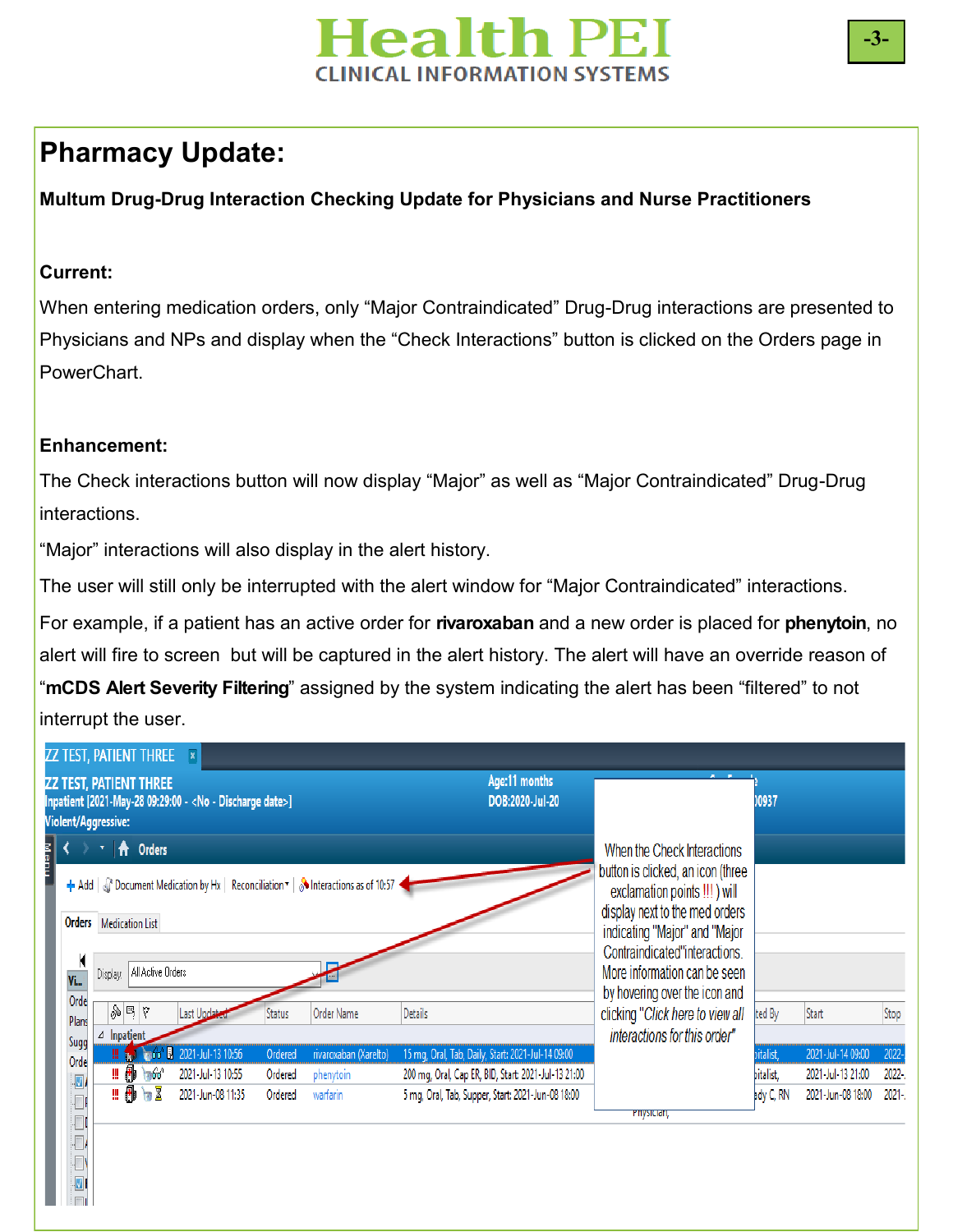

## **Pharmacy Update:**

**Multum Drug-Drug Interaction Checking Update for Physicians and Nurse Practitioners**

#### **Current:**

When entering medication orders, only "Major Contraindicated" Drug-Drug interactions are presented to Physicians and NPs and display when the "Check Interactions" button is clicked on the Orders page in PowerChart.

#### **Enhancement:**

The Check interactions button will now display "Major" as well as "Major Contraindicated" Drug-Drug interactions.

"Major" interactions will also display in the alert history.

Bulletins are available for viewing at: http://iis.peigov/cis

The user will still only be interrupted with the alert window for "Major Contraindicated" interactions.

For example, if a patient has an active order for **rivaroxaban** and a new order is placed for **phenytoin**, no alert will fire to screen but will be captured in the alert history. The alert will have an override reason of

"**mCDS Alert Severity Filtering**" assigned by the system indicating the alert has been "filtered" to not interrupt the user.